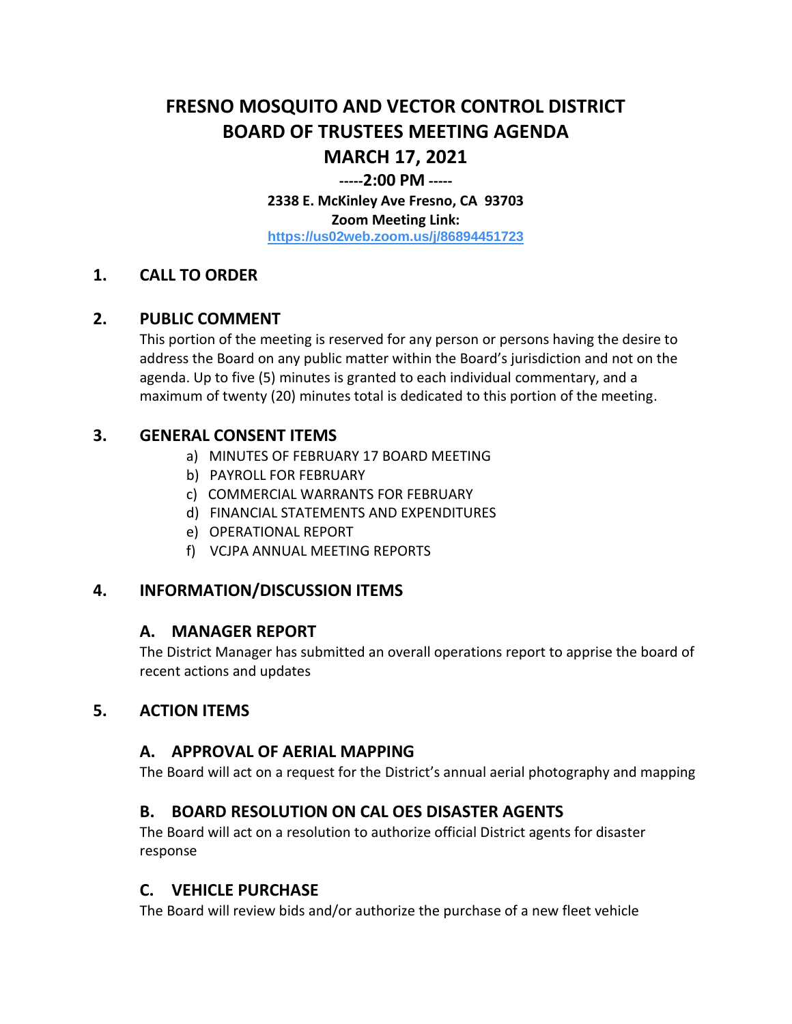# **FRESNO MOSQUITO AND VECTOR CONTROL DISTRICT BOARD OF TRUSTEES MEETING AGENDA MARCH 17, 2021**

#### **-----2:00 PM -----**

**2338 E. McKinley Ave Fresno, CA 93703 Zoom Meeting Link: <https://us02web.zoom.us/j/86894451723>**

#### **1. CALL TO ORDER**

#### **2. PUBLIC COMMENT**

This portion of the meeting is reserved for any person or persons having the desire to address the Board on any public matter within the Board's jurisdiction and not on the agenda. Up to five (5) minutes is granted to each individual commentary, and a maximum of twenty (20) minutes total is dedicated to this portion of the meeting.

#### **3. GENERAL CONSENT ITEMS**

- a) MINUTES OF FEBRUARY 17 BOARD MEETING
- b) PAYROLL FOR FEBRUARY
- c) COMMERCIAL WARRANTS FOR FEBRUARY
- d) FINANCIAL STATEMENTS AND EXPENDITURES
- e) OPERATIONAL REPORT
- f) VCJPA ANNUAL MEETING REPORTS

# **4. INFORMATION/DISCUSSION ITEMS**

#### **A. MANAGER REPORT**

The District Manager has submitted an overall operations report to apprise the board of recent actions and updates

# **5. ACTION ITEMS**

#### **A. APPROVAL OF AERIAL MAPPING**

The Board will act on a request for the District's annual aerial photography and mapping

# **B. BOARD RESOLUTION ON CAL OES DISASTER AGENTS**

The Board will act on a resolution to authorize official District agents for disaster response

# **C. VEHICLE PURCHASE**

The Board will review bids and/or authorize the purchase of a new fleet vehicle